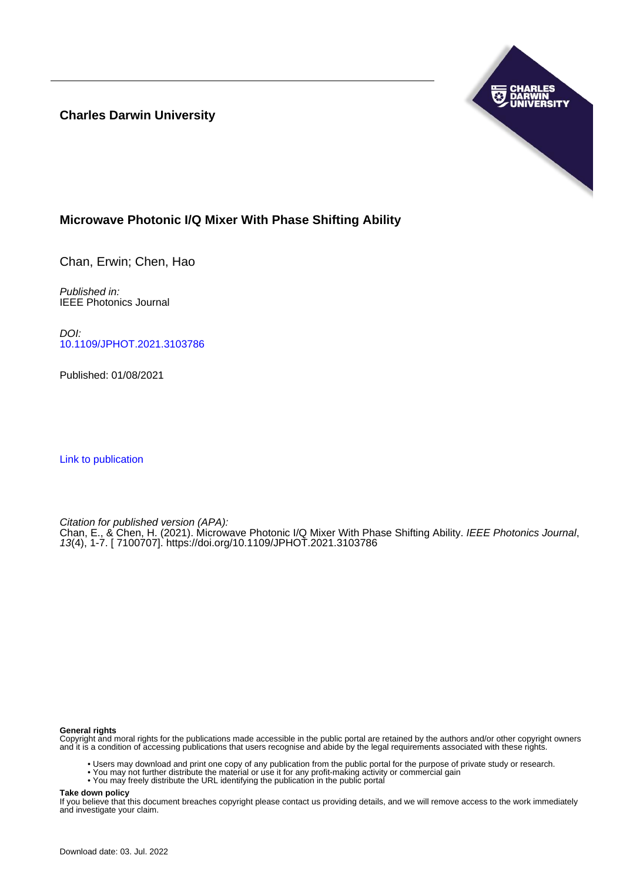**Charles Darwin University**



## **Microwave Photonic I/Q Mixer With Phase Shifting Ability**

Chan, Erwin; Chen, Hao

Published in: IEEE Photonics Journal

DOI: [10.1109/JPHOT.2021.3103786](https://doi.org/10.1109/JPHOT.2021.3103786)

Published: 01/08/2021

[Link to publication](https://researchers.cdu.edu.au/en/publications/a9bd3e98-1645-4993-90c0-5f5549437a18)

Citation for published version (APA):

Chan, E., & Chen, H. (2021). Microwave Photonic I/Q Mixer With Phase Shifting Ability. IEEE Photonics Journal, 13(4), 1-7. [ 7100707]. <https://doi.org/10.1109/JPHOT.2021.3103786>

## **General rights**

Copyright and moral rights for the publications made accessible in the public portal are retained by the authors and/or other copyright owners and it is a condition of accessing publications that users recognise and abide by the legal requirements associated with these rights.

- Users may download and print one copy of any publication from the public portal for the purpose of private study or research.
- You may not further distribute the material or use it for any profit-making activity or commercial gain
- You may freely distribute the URL identifying the publication in the public portal

**Take down policy**

If you believe that this document breaches copyright please contact us providing details, and we will remove access to the work immediately and investigate your claim.